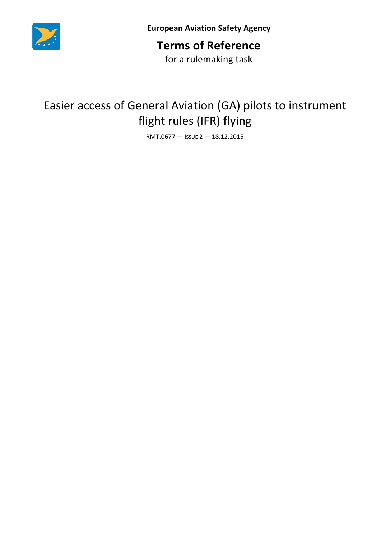

## Easier access of General Aviation (GA) pilots to instrument flight rules (IFR) flying

RMT.0677 — ISSUE 2 — 18.12.2015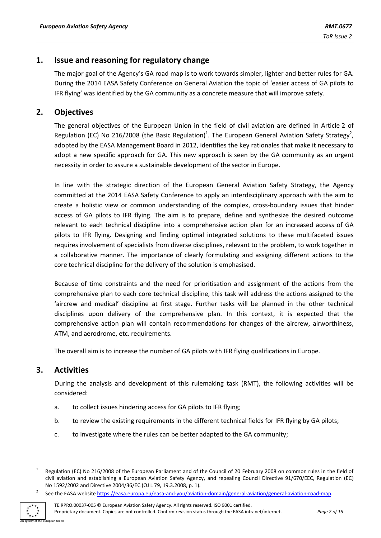## **1. Issue and reasoning for regulatory change**

The major goal of the Agency's GA road map is to work towards simpler, lighter and better rules for GA. During the 2014 EASA Safety Conference on General Aviation the topic of 'easier access of GA pilots to IFR flying' was identified by the GA community as a concrete measure that will improve safety.

## **2. Objectives**

The general objectives of the European Union in the field of civil aviation are defined in Article 2 of Regulation (EC) No 216/2008 (the Basic Regulation)<sup>1</sup>. The European General Aviation Safety Strategy<sup>2</sup>, adopted by the EASA Management Board in 2012, identifies the key rationales that make it necessary to adopt a new specific approach for GA. This new approach is seen by the GA community as an urgent necessity in order to assure a sustainable development of the sector in Europe.

In line with the strategic direction of the European General Aviation Safety Strategy, the Agency committed at the 2014 EASA Safety Conference to apply an interdisciplinary approach with the aim to create a holistic view or common understanding of the complex, cross-boundary issues that hinder access of GA pilots to IFR flying. The aim is to prepare, define and synthesize the desired outcome relevant to each technical discipline into a comprehensive action plan for an increased access of GA pilots to IFR flying. Designing and finding optimal integrated solutions to these multifaceted issues requires involvement of specialists from diverse disciplines, relevant to the problem, to work together in a collaborative manner. The importance of clearly formulating and assigning different actions to the core technical discipline for the delivery of the solution is emphasised.

Because of time constraints and the need for prioritisation and assignment of the actions from the comprehensive plan to each core technical discipline, this task will address the actions assigned to the 'aircrew and medical' discipline at first stage. Further tasks will be planned in the other technical disciplines upon delivery of the comprehensive plan. In this context, it is expected that the comprehensive action plan will contain recommendations for changes of the aircrew, airworthiness, ATM, and aerodrome, etc. requirements.

The overall aim is to increase the number of GA pilots with IFR flying qualifications in Europe.

## **3. Activities**

During the analysis and development of this rulemaking task (RMT), the following activities will be considered:

- a. to collect issues hindering access for GA pilots to IFR flying;
- b. to review the existing requirements in the different technical fields for IFR flying by GA pilots;
- c. to investigate where the rules can be better adapted to the GA community;

ean Union

<sup>1</sup> 1 Regulation (EC) No 216/2008 of the European Parliament and of the Council of 20 February 2008 on common rules in the field of civil aviation and establishing a European Aviation Safety Agency, and repealing Council Directive 91/670/EEC, Regulation (EC) No 1592/2002 and Directive 2004/36/EC (OJ L 79, 19.3.2008, p. 1). 2

See the EASA website [https://easa.europa.eu/easa-and-you/aviation-domain/general-aviation/general-aviation-road-map.](https://easa.europa.eu/easa-and-you/aviation-domain/general-aviation/general-aviation-road-map)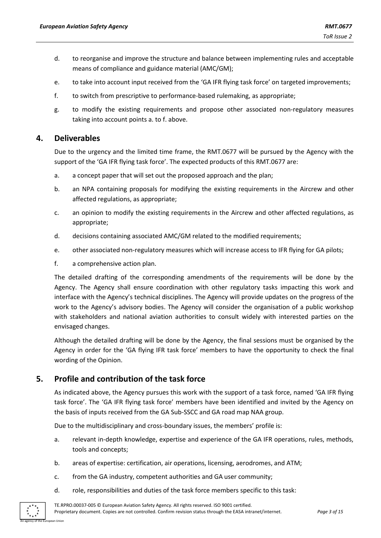- d. to reorganise and improve the structure and balance between implementing rules and acceptable means of compliance and guidance material (AMC/GM);
- e. to take into account input received from the 'GA IFR flying task force' on targeted improvements;
- f. to switch from prescriptive to performance-based rulemaking, as appropriate;
- g. to modify the existing requirements and propose other associated non-regulatory measures taking into account points a. to f. above.

## **4. Deliverables**

Due to the urgency and the limited time frame, the RMT.0677 will be pursued by the Agency with the support of the 'GA IFR flying task force'. The expected products of this RMT.0677 are:

- a. a concept paper that will set out the proposed approach and the plan;
- b. an NPA containing proposals for modifying the existing requirements in the Aircrew and other affected regulations, as appropriate;
- c. an opinion to modify the existing requirements in the Aircrew and other affected regulations, as appropriate;
- d. decisions containing associated AMC/GM related to the modified requirements;
- e. other associated non-regulatory measures which will increase access to IFR flying for GA pilots;
- f. a comprehensive action plan.

The detailed drafting of the corresponding amendments of the requirements will be done by the Agency. The Agency shall ensure coordination with other regulatory tasks impacting this work and interface with the Agency's technical disciplines. The Agency will provide updates on the progress of the work to the Agency's advisory bodies. The Agency will consider the organisation of a public workshop with stakeholders and national aviation authorities to consult widely with interested parties on the envisaged changes.

Although the detailed drafting will be done by the Agency, the final sessions must be organised by the Agency in order for the 'GA flying IFR task force' members to have the opportunity to check the final wording of the Opinion.

## **5. Profile and contribution of the task force**

As indicated above, the Agency pursues this work with the support of a task force, named 'GA IFR flying task force'. The 'GA IFR flying task force' members have been identified and invited by the Agency on the basis of inputs received from the GA Sub-SSCC and GA road map NAA group.

Due to the multidisciplinary and cross-boundary issues, the members' profile is:

- a. relevant in-depth knowledge, expertise and experience of the GA IFR operations, rules, methods, tools and concepts;
- b. areas of expertise: certification, air operations, licensing, aerodromes, and ATM;
- c. from the GA industry, competent authorities and GA user community;
- d. role, responsibilities and duties of the task force members specific to this task:

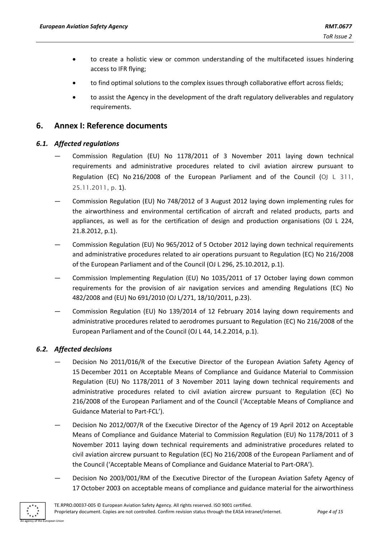- to create a holistic view or common understanding of the multifaceted issues hindering access to IFR flying;
- to find optimal solutions to the complex issues through collaborative effort across fields;
- to assist the Agency in the development of the draft regulatory deliverables and regulatory requirements.

### **6. Annex I: Reference documents**

#### *6.1. Affected regulations*

- Commission Regulation (EU) No 1178/2011 of 3 November 2011 laying down technical requirements and administrative procedures related to civil aviation aircrew pursuant to Regulation (EC) No 216/2008 of the European Parliament and of the Council (OJ L 311, 25.11.2011, p. 1).
- Commission Regulation (EU) No 748/2012 of 3 August 2012 laying down implementing rules for the airworthiness and environmental certification of aircraft and related products, parts and appliances, as well as for the certification of design and production organisations (OJ L 224, 21.8.2012, p.1).
- Commission Regulation (EU) No 965/2012 of 5 October 2012 laying down technical requirements and administrative procedures related to air operations pursuant to Regulation (EC) No 216/2008 of the European Parliament and of the Council (OJ L 296, 25.10.2012, p.1).
- Commission Implementing Regulation (EU) No 1035/2011 of 17 October laying down common requirements for the provision of air navigation services and amending Regulations (EC) No 482/2008 and (EU) No 691/2010 (OJ L/271, 18/10/2011, p.23).
- Commission Regulation (EU) No 139/2014 of 12 February 2014 laying down requirements and administrative procedures related to aerodromes pursuant to Regulation (EC) No 216/2008 of the European Parliament and of the Council (OJ L 44, 14.2.2014, p.1).

#### *6.2. Affected decisions*

- Decision No 2011/016/R of the Executive Director of the European Aviation Safety Agency of 15 December 2011 on Acceptable Means of Compliance and Guidance Material to Commission Regulation (EU) No 1178/2011 of 3 November 2011 laying down technical requirements and administrative procedures related to civil aviation aircrew pursuant to Regulation (EC) No 216/2008 of the European Parliament and of the Council ('Acceptable Means of Compliance and Guidance Material to Part-FCL').
- Decision No 2012/007/R of the Executive Director of the Agency of 19 April 2012 on Acceptable Means of Compliance and Guidance Material to Commission Regulation (EU) No 1178/2011 of 3 November 2011 laying down technical requirements and administrative procedures related to civil aviation aircrew pursuant to Regulation (EC) No 216/2008 of the European Parliament and of the Council ('Acceptable Means of Compliance and Guidance Material to Part-ORA').
- Decision No 2003/001/RM of the Executive Director of the European Aviation Safety Agency of 17 October 2003 on acceptable means of compliance and guidance material for the airworthiness

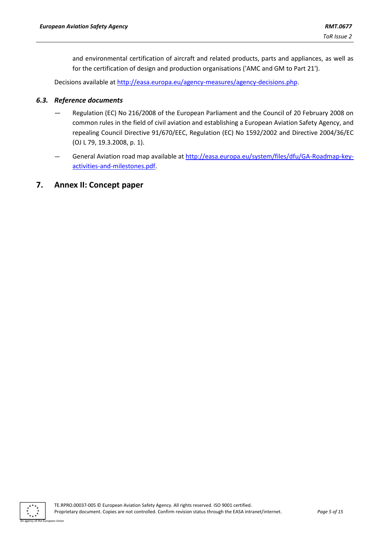and environmental certification of aircraft and related products, parts and appliances, as well as for the certification of design and production organisations ('AMC and GM to Part 21').

Decisions available at [http://easa.europa.eu/agency-measures/agency-decisions.php.](http://easa.europa.eu/agency-measures/agency-decisions.php)

#### *6.3. Reference documents*

- Regulation (EC) No 216/2008 of the European Parliament and the Council of 20 February 2008 on common rules in the field of civil aviation and establishing a European Aviation Safety Agency, and repealing Council Directive 91/670/EEC, Regulation (EC) No 1592/2002 and Directive 2004/36/EC (OJ L 79, 19.3.2008, p. 1).
- General Aviation road map available at [http://easa.europa.eu/system/files/dfu/GA-Roadmap-key](http://easa.europa.eu/system/files/dfu/GA-Roadmap-key-activities-and-milestones.pdf)[activities-and-milestones.pdf.](http://easa.europa.eu/system/files/dfu/GA-Roadmap-key-activities-and-milestones.pdf)

### **7. Annex II: Concept paper**

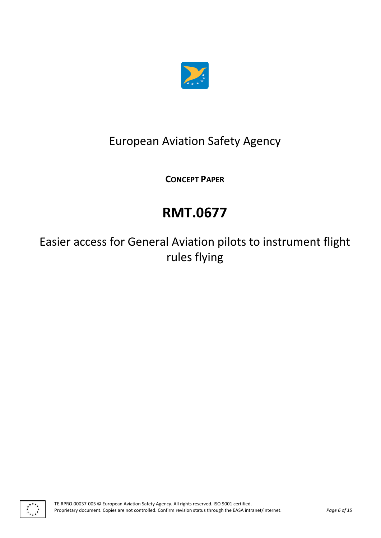

## European Aviation Safety Agency

**CONCEPT PAPER**

# **RMT.0677**

Easier access for General Aviation pilots to instrument flight rules flying

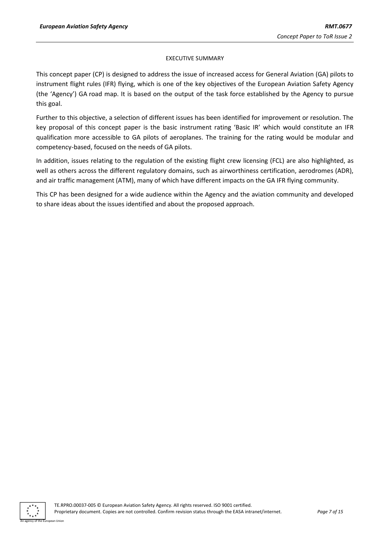#### EXECUTIVE SUMMARY

This concept paper (CP) is designed to address the issue of increased access for General Aviation (GA) pilots to instrument flight rules (IFR) flying, which is one of the key objectives of the European Aviation Safety Agency (the 'Agency') GA road map. It is based on the output of the task force established by the Agency to pursue this goal.

Further to this objective, a selection of different issues has been identified for improvement or resolution. The key proposal of this concept paper is the basic instrument rating 'Basic IR' which would constitute an IFR qualification more accessible to GA pilots of aeroplanes. The training for the rating would be modular and competency-based, focused on the needs of GA pilots.

In addition, issues relating to the regulation of the existing flight crew licensing (FCL) are also highlighted, as well as others across the different regulatory domains, such as airworthiness certification, aerodromes (ADR), and air traffic management (ATM), many of which have different impacts on the GA IFR flying community.

This CP has been designed for a wide audience within the Agency and the aviation community and developed to share ideas about the issues identified and about the proposed approach.

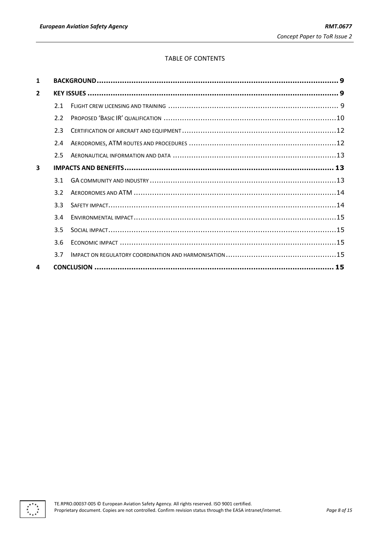#### TABLE OF CONTENTS

| 1              |     |  |  |
|----------------|-----|--|--|
| $\overline{2}$ |     |  |  |
|                | 2.1 |  |  |
|                | 2.2 |  |  |
|                | 2.3 |  |  |
|                | 2.4 |  |  |
|                | 2.5 |  |  |
| 3              |     |  |  |
|                | 3.1 |  |  |
|                | 3.2 |  |  |
|                | 3.3 |  |  |
|                | 3.4 |  |  |
|                | 3.5 |  |  |
|                | 3.6 |  |  |
|                | 3.7 |  |  |
| 4              |     |  |  |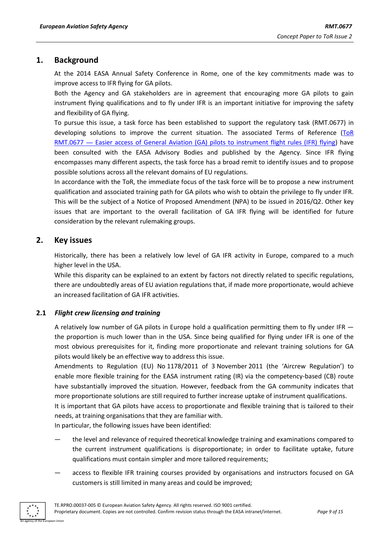## <span id="page-8-0"></span>**1. Background**

At the 2014 EASA Annual Safety Conference in Rome, one of the key commitments made was to improve access to IFR flying for GA pilots.

Both the Agency and GA stakeholders are in agreement that encouraging more GA pilots to gain instrument flying qualifications and to fly under IFR is an important initiative for improving the safety and flexibility of GA flying.

To pursue this issue, a task force has been established to support the regulatory task (RMT.0677) in developing solutions to improve the current situation. The associated Terms of Reference (TOR RMT.0677 — Easier [access of General Aviation \(GA\) pilots to instrument flight rules \(IFR\) flying\)](https://www.easa.europa.eu/document-library/terms-of-reference-and-group-compositions/tor-rmt0677) have been consulted with the EASA Advisory Bodies and published by the Agency. Since IFR flying encompasses many different aspects, the task force has a broad remit to identify issues and to propose possible solutions across all the relevant domains of EU regulations.

In accordance with the ToR, the immediate focus of the task force will be to propose a new instrument qualification and associated training path for GA pilots who wish to obtain the privilege to fly under IFR. This will be the subject of a Notice of Proposed Amendment (NPA) to be issued in 2016/Q2. Other key issues that are important to the overall facilitation of GA IFR flying will be identified for future consideration by the relevant rulemaking groups.

## <span id="page-8-1"></span>**2. Key issues**

Historically, there has been a relatively low level of GA IFR activity in Europe, compared to a much higher level in the USA.

While this disparity can be explained to an extent by factors not directly related to specific regulations, there are undoubtedly areas of EU aviation regulations that, if made more proportionate, would achieve an increased facilitation of GA IFR activities.

## <span id="page-8-2"></span>**2.1** *Flight crew licensing and training*

A relatively low number of GA pilots in Europe hold a qualification permitting them to fly under IFR the proportion is much lower than in the USA. Since being qualified for flying under IFR is one of the most obvious prerequisites for it, finding more proportionate and relevant training solutions for GA pilots would likely be an effective way to address this issue.

Amendments to Regulation (EU) No 1178/2011 of 3 November 2011 (the 'Aircrew Regulation') to enable more flexible training for the EASA instrument rating (IR) via the competency-based (CB) route have substantially improved the situation. However, feedback from the GA community indicates that more proportionate solutions are still required to further increase uptake of instrument qualifications.

It is important that GA pilots have access to proportionate and flexible training that is tailored to their needs, at training organisations that they are familiar with.

In particular, the following issues have been identified:

- the level and relevance of required theoretical knowledge training and examinations compared to the current instrument qualifications is disproportionate; in order to facilitate uptake, future qualifications must contain simpler and more tailored requirements;
- access to flexible IFR training courses provided by organisations and instructors focused on GA customers is still limited in many areas and could be improved;

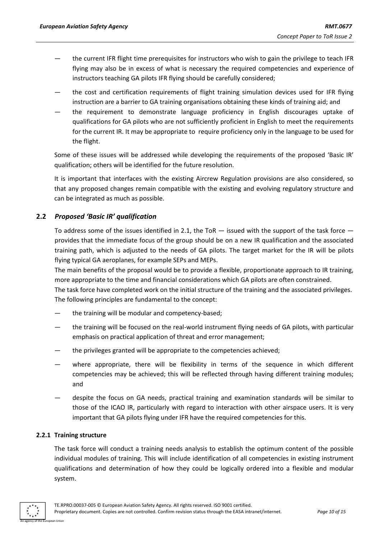- the current IFR flight time prerequisites for instructors who wish to gain the privilege to teach IFR flying may also be in excess of what is necessary the required competencies and experience of instructors teaching GA pilots IFR flying should be carefully considered;
- the cost and certification requirements of flight training simulation devices used for IFR flying instruction are a barrier to GA training organisations obtaining these kinds of training aid; and
- the requirement to demonstrate language proficiency in English discourages uptake of qualifications for GA pilots who are not sufficiently proficient in English to meet the requirements for the current IR. It may be appropriate to require proficiency only in the language to be used for the flight.

Some of these issues will be addressed while developing the requirements of the proposed 'Basic IR' qualification; others will be identified for the future resolution.

It is important that interfaces with the existing Aircrew Regulation provisions are also considered, so that any proposed changes remain compatible with the existing and evolving regulatory structure and can be integrated as much as possible.

#### <span id="page-9-0"></span>**2.2** *Proposed 'Basic IR' qualification*

To address some of the issues identified in 2.1, the ToR  $-$  issued with the support of the task force  $$ provides that the immediate focus of the group should be on a new IR qualification and the associated training path, which is adjusted to the needs of GA pilots. The target market for the IR will be pilots flying typical GA aeroplanes, for example SEPs and MEPs.

The main benefits of the proposal would be to provide a flexible, proportionate approach to IR training, more appropriate to the time and financial considerations which GA pilots are often constrained.

The task force have completed work on the initial structure of the training and the associated privileges. The following principles are fundamental to the concept:

- the training will be modular and competency-based;
- the training will be focused on the real-world instrument flying needs of GA pilots, with particular emphasis on practical application of threat and error management;
- the privileges granted will be appropriate to the competencies achieved;
- where appropriate, there will be flexibility in terms of the sequence in which different competencies may be achieved; this will be reflected through having different training modules; and
- despite the focus on GA needs, practical training and examination standards will be similar to those of the ICAO IR, particularly with regard to interaction with other airspace users. It is very important that GA pilots flying under IFR have the required competencies for this.

#### **2.2.1 Training structure**

The task force will conduct a training needs analysis to establish the optimum content of the possible individual modules of training. This will include identification of all competencies in existing instrument qualifications and determination of how they could be logically ordered into a flexible and modular system.

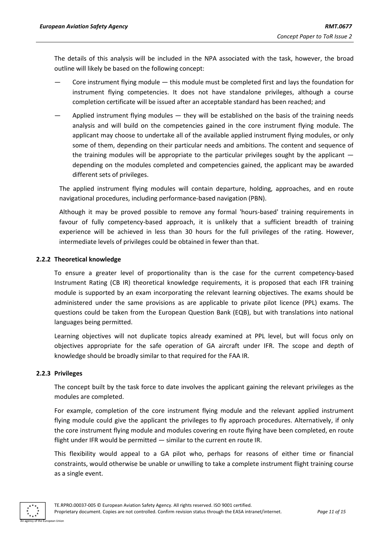The details of this analysis will be included in the NPA associated with the task, however, the broad outline will likely be based on the following concept:

- Core instrument flying module this module must be completed first and lays the foundation for instrument flying competencies. It does not have standalone privileges, although a course completion certificate will be issued after an acceptable standard has been reached; and
- Applied instrument flying modules they will be established on the basis of the training needs analysis and will build on the competencies gained in the core instrument flying module. The applicant may choose to undertake all of the available applied instrument flying modules, or only some of them, depending on their particular needs and ambitions. The content and sequence of the training modules will be appropriate to the particular privileges sought by the applicant depending on the modules completed and competencies gained, the applicant may be awarded different sets of privileges.

The applied instrument flying modules will contain departure, holding, approaches, and en route navigational procedures, including performance-based navigation (PBN).

Although it may be proved possible to remove any formal 'hours-based' training requirements in favour of fully competency-based approach, it is unlikely that a sufficient breadth of training experience will be achieved in less than 30 hours for the full privileges of the rating. However, intermediate levels of privileges could be obtained in fewer than that.

#### **2.2.2 Theoretical knowledge**

To ensure a greater level of proportionality than is the case for the current competency-based Instrument Rating (CB IR) theoretical knowledge requirements, it is proposed that each IFR training module is supported by an exam incorporating the relevant learning objectives. The exams should be administered under the same provisions as are applicable to private pilot licence (PPL) exams. The questions could be taken from the European Question Bank (EQB), but with translations into national languages being permitted.

Learning objectives will not duplicate topics already examined at PPL level, but will focus only on objectives appropriate for the safe operation of GA aircraft under IFR. The scope and depth of knowledge should be broadly similar to that required for the FAA IR.

#### **2.2.3 Privileges**

The concept built by the task force to date involves the applicant gaining the relevant privileges as the modules are completed.

For example, completion of the core instrument flying module and the relevant applied instrument flying module could give the applicant the privileges to fly approach procedures. Alternatively, if only the core instrument flying module and modules covering en route flying have been completed, en route flight under IFR would be permitted — similar to the current en route IR.

This flexibility would appeal to a GA pilot who, perhaps for reasons of either time or financial constraints, would otherwise be unable or unwilling to take a complete instrument flight training course as a single event.

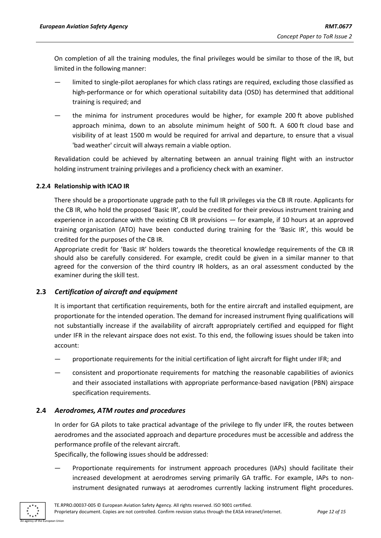On completion of all the training modules, the final privileges would be similar to those of the IR, but limited in the following manner:

- limited to single-pilot aeroplanes for which class ratings are required, excluding those classified as high-performance or for which operational suitability data (OSD) has determined that additional training is required; and
- the minima for instrument procedures would be higher, for example 200 ft above published approach minima, down to an absolute minimum height of 500 ft. A 600 ft cloud base and visibility of at least 1500 m would be required for arrival and departure, to ensure that a visual 'bad weather' circuit will always remain a viable option.

Revalidation could be achieved by alternating between an annual training flight with an instructor holding instrument training privileges and a proficiency check with an examiner.

#### **2.2.4 Relationship with ICAO IR**

There should be a proportionate upgrade path to the full IR privileges via the CB IR route. Applicants for the CB IR, who hold the proposed 'Basic IR', could be credited for their previous instrument training and experience in accordance with the existing CB IR provisions — for example, if 10 hours at an approved training organisation (ATO) have been conducted during training for the 'Basic IR', this would be credited for the purposes of the CB IR.

Appropriate credit for 'Basic IR' holders towards the theoretical knowledge requirements of the CB IR should also be carefully considered. For example, credit could be given in a similar manner to that agreed for the conversion of the third country IR holders, as an oral assessment conducted by the examiner during the skill test.

#### <span id="page-11-0"></span>**2.3** *Certification of aircraft and equipment*

It is important that certification requirements, both for the entire aircraft and installed equipment, are proportionate for the intended operation. The demand for increased instrument flying qualifications will not substantially increase if the availability of aircraft appropriately certified and equipped for flight under IFR in the relevant airspace does not exist. To this end, the following issues should be taken into account:

- proportionate requirements for the initial certification of light aircraft for flight under IFR; and
- consistent and proportionate requirements for matching the reasonable capabilities of avionics and their associated installations with appropriate performance-based navigation (PBN) airspace specification requirements.

#### <span id="page-11-1"></span>**2.4** *Aerodromes, ATM routes and procedures*

In order for GA pilots to take practical advantage of the privilege to fly under IFR, the routes between aerodromes and the associated approach and departure procedures must be accessible and address the performance profile of the relevant aircraft.

Specifically, the following issues should be addressed:

— Proportionate requirements for instrument approach procedures (IAPs) should facilitate their increased development at aerodromes serving primarily GA traffic. For example, IAPs to noninstrument designated runways at aerodromes currently lacking instrument flight procedures.

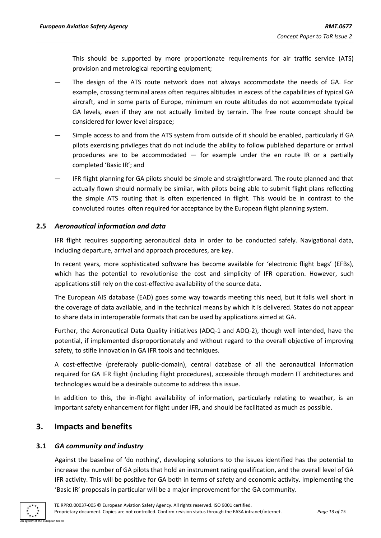This should be supported by more proportionate requirements for air traffic service (ATS) provision and metrological reporting equipment;

- The design of the ATS route network does not always accommodate the needs of GA. For example, crossing terminal areas often requires altitudes in excess of the capabilities of typical GA aircraft, and in some parts of Europe, minimum en route altitudes do not accommodate typical GA levels, even if they are not actually limited by terrain. The free route concept should be considered for lower level airspace;
- Simple access to and from the ATS system from outside of it should be enabled, particularly if GA pilots exercising privileges that do not include the ability to follow published departure or arrival procedures are to be accommodated — for example under the en route IR or a partially completed 'Basic IR'; and
- IFR flight planning for GA pilots should be simple and straightforward. The route planned and that actually flown should normally be similar, with pilots being able to submit flight plans reflecting the simple ATS routing that is often experienced in flight. This would be in contrast to the convoluted routes often required for acceptance by the European flight planning system.

#### <span id="page-12-0"></span>**2.5** *Aeronautical information and data*

IFR flight requires supporting aeronautical data in order to be conducted safely. Navigational data, including departure, arrival and approach procedures, are key.

In recent years, more sophisticated software has become available for 'electronic flight bags' (EFBs), which has the potential to revolutionise the cost and simplicity of IFR operation. However, such applications still rely on the cost-effective availability of the source data.

The European AIS database (EAD) goes some way towards meeting this need, but it falls well short in the coverage of data available, and in the technical means by which it is delivered. States do not appear to share data in interoperable formats that can be used by applications aimed at GA.

Further, the Aeronautical Data Quality initiatives (ADQ-1 and ADQ-2), though well intended, have the potential, if implemented disproportionately and without regard to the overall objective of improving safety, to stifle innovation in GA IFR tools and techniques.

A cost-effective (preferably public-domain), central database of all the aeronautical information required for GA IFR flight (including flight procedures), accessible through modern IT architectures and technologies would be a desirable outcome to address this issue.

In addition to this, the in-flight availability of information, particularly relating to weather, is an important safety enhancement for flight under IFR, and should be facilitated as much as possible.

## <span id="page-12-1"></span>**3. Impacts and benefits**

#### <span id="page-12-2"></span>**3.1** *GA community and industry*

Against the baseline of 'do nothing', developing solutions to the issues identified has the potential to increase the number of GA pilots that hold an instrument rating qualification, and the overall level of GA IFR activity. This will be positive for GA both in terms of safety and economic activity. Implementing the 'Basic IR' proposals in particular will be a major improvement for the GA community.

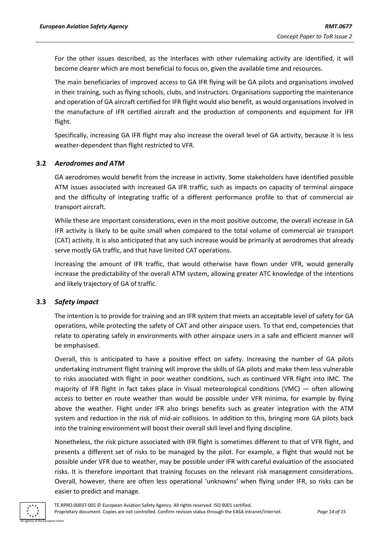For the other issues described, as the interfaces with other rulemaking activity are identified, it will become clearer which are most beneficial to focus on, given the available time and resources.

The main beneficiaries of improved access to GA IFR flying will be GA pilots and organisations involved in their training, such as flying schools, clubs, and instructors. Organisations supporting the maintenance and operation of GA aircraft certified for IFR flight would also benefit, as would organisations involved in the manufacture of IFR certified aircraft and the production of components and equipment for IFR flight.

Specifically, increasing GA IFR flight may also increase the overall level of GA activity, because it is less weather-dependent than flight restricted to VFR.

#### <span id="page-13-0"></span>**3.2** *Aerodromes and ATM*

GA aerodromes would benefit from the increase in activity. Some stakeholders have identified possible ATM issues associated with increased GA IFR traffic, such as impacts on capacity of terminal airspace and the difficulty of integrating traffic of a different performance profile to that of commercial air transport aircraft.

While these are important considerations, even in the most positive outcome, the overall increase in GA IFR activity is likely to be quite small when compared to the total volume of commercial air transport (CAT) activity. It is also anticipated that any such increase would be primarily at aerodromes that already serve mostly GA traffic, and that have limited CAT operations.

Increasing the amount of IFR traffic, that would otherwise have flown under VFR, would generally increase the predictability of the overall ATM system, allowing greater ATC knowledge of the intentions and likely trajectory of GA of traffic.

#### <span id="page-13-1"></span>**3.3** *Safety impact*

The intention is to provide for training and an IFR system that meets an acceptable level of safety for GA operations, while protecting the safety of CAT and other airspace users. To that end, competencies that relate to operating safely in environments with other airspace users in a safe and efficient manner will be emphasised.

Overall, this is anticipated to have a positive effect on safety. Increasing the number of GA pilots undertaking instrument flight training will improve the skills of GA pilots and make them less vulnerable to risks associated with flight in poor weather conditions, such as continued VFR flight into IMC. The majority of IFR flight in fact takes place in Visual meteorological conditions (VMC) — often allowing access to better en route weather than would be possible under VFR minima, for example by flying above the weather. Flight under IFR also brings benefits such as greater integration with the ATM system and reduction in the risk of mid-air collisions. In addition to this, bringing more GA pilots back into the training environment will boost their overall skill level and flying discipline.

Nonetheless, the risk picture associated with IFR flight is sometimes different to that of VFR flight, and presents a different set of risks to be managed by the pilot. For example, a flight that would not be possible under VFR due to weather, may be possible under IFR with careful evaluation of the associated risks. It is therefore important that training focuses on the relevant risk management considerations. Overall, however, there are often less operational 'unknowns' when flying under IFR, so risks can be easier to predict and manage.